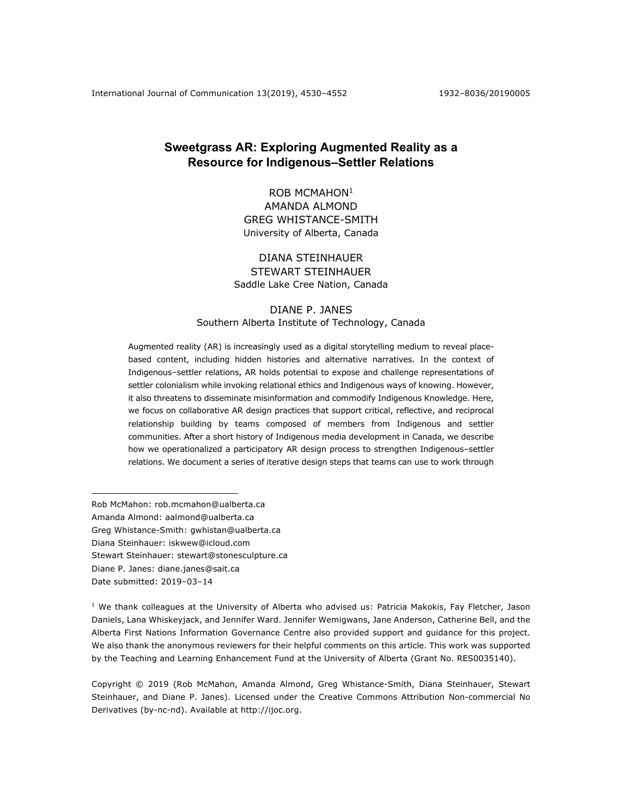International Journal of Communication 13(2019), 4530–4552 1932–8036/20190005

# **Sweetgrass AR: Exploring Augmented Reality as a Resource for Indigenous–Settler Relations**

ROB MCMAHON<sup>1</sup> AMANDA ALMOND GREG WHISTANCE-SMITH University of Alberta, Canada

## DIANA STEINHAUER STEWART STEINHAUER Saddle Lake Cree Nation, Canada

## DIANE P. JANES Southern Alberta Institute of Technology, Canada

Augmented reality (AR) is increasingly used as a digital storytelling medium to reveal placebased content, including hidden histories and alternative narratives. In the context of Indigenous–settler relations, AR holds potential to expose and challenge representations of settler colonialism while invoking relational ethics and Indigenous ways of knowing. However, it also threatens to disseminate misinformation and commodify Indigenous Knowledge. Here, we focus on collaborative AR design practices that support critical, reflective, and reciprocal relationship building by teams composed of members from Indigenous and settler communities. After a short history of Indigenous media development in Canada, we describe how we operationalized a participatory AR design process to strengthen Indigenous–settler relations. We document a series of iterative design steps that teams can use to work through

Rob McMahon: rob.mcmahon@ualberta.ca Amanda Almond: aalmond@ualberta.ca Greg Whistance-Smith: gwhistan@ualberta.ca Diana Steinhauer: iskwew@icloud.com Stewart Steinhauer: stewart@stonesculpture.ca Diane P. Janes: diane.janes@sait.ca Date submitted: 2019–03–14

 $1$  We thank colleagues at the University of Alberta who advised us: Patricia Makokis, Fay Fletcher, Jason Daniels, Lana Whiskeyjack, and Jennifer Ward. Jennifer Wemigwans, Jane Anderson, Catherine Bell, and the Alberta First Nations Information Governance Centre also provided support and guidance for this project. We also thank the anonymous reviewers for their helpful comments on this article. This work was supported by the Teaching and Learning Enhancement Fund at the University of Alberta (Grant No. RES0035140).

Copyright © 2019 (Rob McMahon, Amanda Almond, Greg Whistance-Smith, Diana Steinhauer, Stewart Steinhauer, and Diane P. Janes). Licensed under the Creative Commons Attribution Non-commercial No Derivatives (by-nc-nd). Available at http://ijoc.org.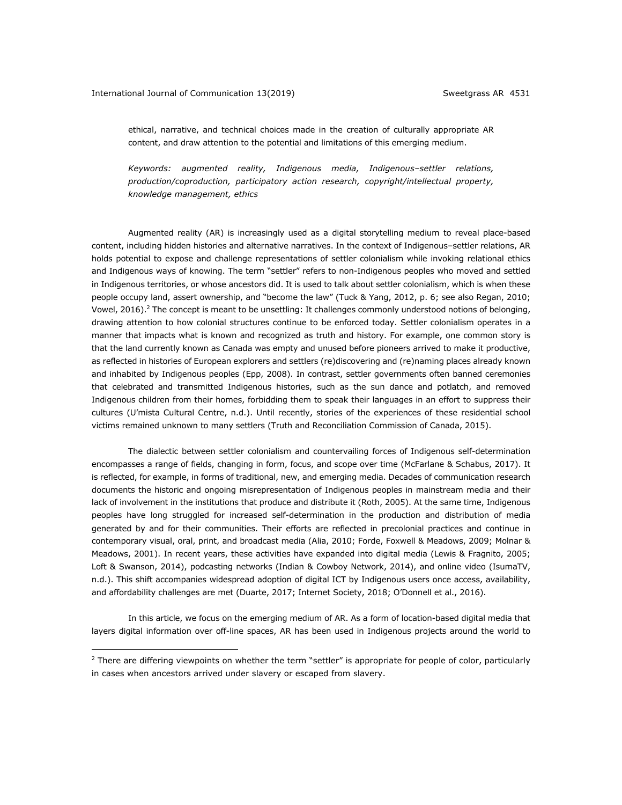ethical, narrative, and technical choices made in the creation of culturally appropriate AR content, and draw attention to the potential and limitations of this emerging medium.

*Keywords: augmented reality, Indigenous media, Indigenous–settler relations, production/coproduction, participatory action research, copyright/intellectual property, knowledge management, ethics*

Augmented reality (AR) is increasingly used as a digital storytelling medium to reveal place-based content, including hidden histories and alternative narratives. In the context of Indigenous–settler relations, AR holds potential to expose and challenge representations of settler colonialism while invoking relational ethics and Indigenous ways of knowing. The term "settler" refers to non-Indigenous peoples who moved and settled in Indigenous territories, or whose ancestors did. It is used to talk about settler colonialism, which is when these people occupy land, assert ownership, and "become the law" (Tuck & Yang, 2012, p. 6; see also Regan, 2010; Vowel, 2016).<sup>2</sup> The concept is meant to be unsettling: It challenges commonly understood notions of belonging, drawing attention to how colonial structures continue to be enforced today. Settler colonialism operates in a manner that impacts what is known and recognized as truth and history. For example, one common story is that the land currently known as Canada was empty and unused before pioneers arrived to make it productive, as reflected in histories of European explorers and settlers (re)discovering and (re)naming places already known and inhabited by Indigenous peoples (Epp, 2008). In contrast, settler governments often banned ceremonies that celebrated and transmitted Indigenous histories, such as the sun dance and potlatch, and removed Indigenous children from their homes, forbidding them to speak their languages in an effort to suppress their cultures (U'mista Cultural Centre, n.d.). Until recently, stories of the experiences of these residential school victims remained unknown to many settlers (Truth and Reconciliation Commission of Canada, 2015).

The dialectic between settler colonialism and countervailing forces of Indigenous self-determination encompasses a range of fields, changing in form, focus, and scope over time (McFarlane & Schabus, 2017). It is reflected, for example, in forms of traditional, new, and emerging media. Decades of communication research documents the historic and ongoing misrepresentation of Indigenous peoples in mainstream media and their lack of involvement in the institutions that produce and distribute it (Roth, 2005). At the same time, Indigenous peoples have long struggled for increased self-determination in the production and distribution of media generated by and for their communities. Their efforts are reflected in precolonial practices and continue in contemporary visual, oral, print, and broadcast media (Alia, 2010; Forde, Foxwell & Meadows, 2009; Molnar & Meadows, 2001). In recent years, these activities have expanded into digital media (Lewis & Fragnito, 2005; Loft & Swanson, 2014), podcasting networks (Indian & Cowboy Network, 2014), and online video (IsumaTV, n.d.). This shift accompanies widespread adoption of digital ICT by Indigenous users once access, availability, and affordability challenges are met (Duarte, 2017; Internet Society, 2018; O'Donnell et al., 2016).

In this article, we focus on the emerging medium of AR. As a form of location-based digital media that layers digital information over off-line spaces, AR has been used in Indigenous projects around the world to

 $<sup>2</sup>$  There are differing viewpoints on whether the term "settler" is appropriate for people of color, particularly</sup> in cases when ancestors arrived under slavery or escaped from slavery.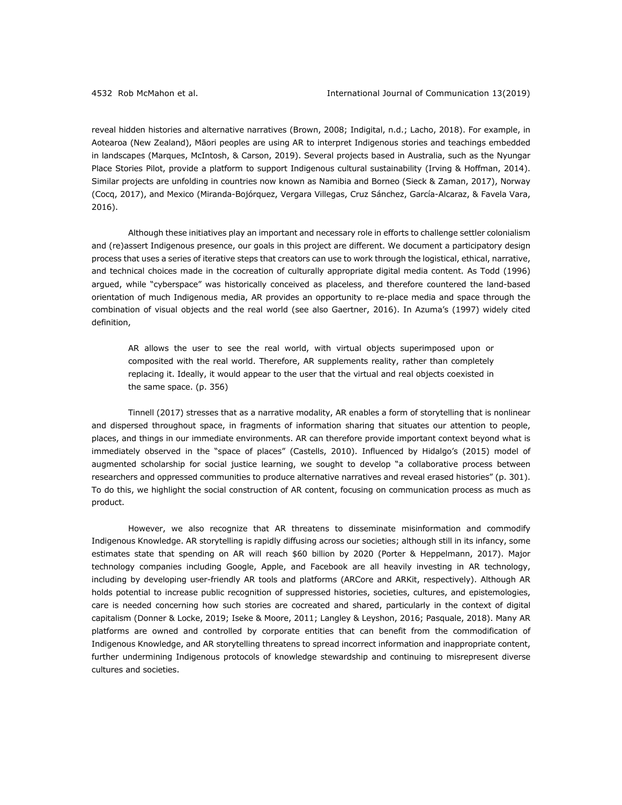reveal hidden histories and alternative narratives (Brown, 2008; Indigital, n.d.; Lacho, 2018). For example, in Aotearoa (New Zealand), Māori peoples are using AR to interpret Indigenous stories and teachings embedded in landscapes (Marques, McIntosh, & Carson, 2019). Several projects based in Australia, such as the Nyungar Place Stories Pilot, provide a platform to support Indigenous cultural sustainability (Irving & Hoffman, 2014). Similar projects are unfolding in countries now known as Namibia and Borneo (Sieck & Zaman, 2017), Norway (Cocq, 2017), and Mexico (Miranda-Bojórquez, Vergara Villegas, Cruz Sánchez, García-Alcaraz, & Favela Vara, 2016).

Although these initiatives play an important and necessary role in efforts to challenge settler colonialism and (re)assert Indigenous presence, our goals in this project are different. We document a participatory design process that uses a series of iterative steps that creators can use to work through the logistical, ethical, narrative, and technical choices made in the cocreation of culturally appropriate digital media content. As Todd (1996) argued, while "cyberspace" was historically conceived as placeless, and therefore countered the land-based orientation of much Indigenous media, AR provides an opportunity to re-place media and space through the combination of visual objects and the real world (see also Gaertner, 2016). In Azuma's (1997) widely cited definition,

AR allows the user to see the real world, with virtual objects superimposed upon or composited with the real world. Therefore, AR supplements reality, rather than completely replacing it. Ideally, it would appear to the user that the virtual and real objects coexisted in the same space. (p. 356)

Tinnell (2017) stresses that as a narrative modality, AR enables a form of storytelling that is nonlinear and dispersed throughout space, in fragments of information sharing that situates our attention to people, places, and things in our immediate environments. AR can therefore provide important context beyond what is immediately observed in the "space of places" (Castells, 2010). Influenced by Hidalgo's (2015) model of augmented scholarship for social justice learning, we sought to develop "a collaborative process between researchers and oppressed communities to produce alternative narratives and reveal erased histories" (p. 301). To do this, we highlight the social construction of AR content, focusing on communication process as much as product.

However, we also recognize that AR threatens to disseminate misinformation and commodify Indigenous Knowledge. AR storytelling is rapidly diffusing across our societies; although still in its infancy, some estimates state that spending on AR will reach \$60 billion by 2020 (Porter & Heppelmann, 2017). Major technology companies including Google, Apple, and Facebook are all heavily investing in AR technology, including by developing user-friendly AR tools and platforms (ARCore and ARKit, respectively). Although AR holds potential to increase public recognition of suppressed histories, societies, cultures, and epistemologies, care is needed concerning how such stories are cocreated and shared, particularly in the context of digital capitalism (Donner & Locke, 2019; Iseke & Moore, 2011; Langley & Leyshon, 2016; Pasquale, 2018). Many AR platforms are owned and controlled by corporate entities that can benefit from the commodification of Indigenous Knowledge, and AR storytelling threatens to spread incorrect information and inappropriate content, further undermining Indigenous protocols of knowledge stewardship and continuing to misrepresent diverse cultures and societies.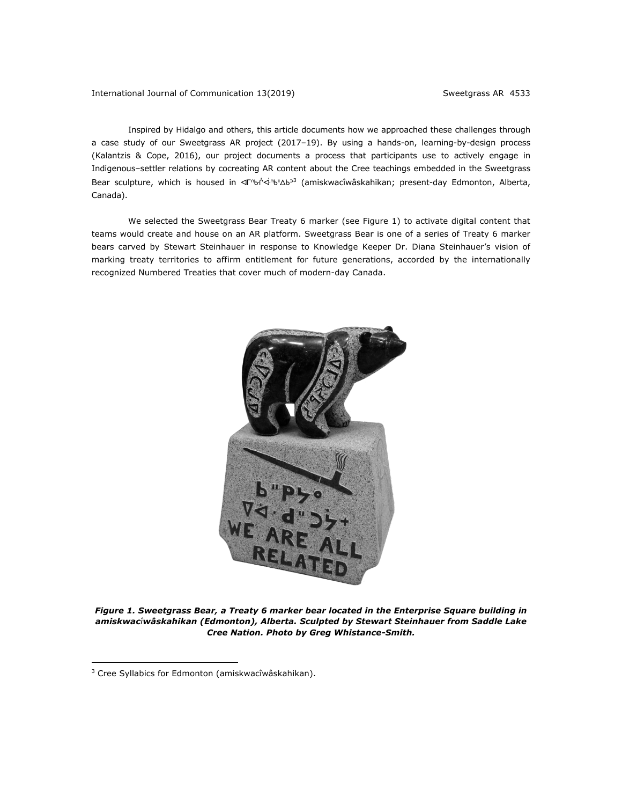## International Journal of Communication 13(2019) Sweetgrass AR 4533

Inspired by Hidalgo and others, this article documents how we approached these challenges through a case study of our Sweetgrass AR project (2017–19). By using a hands-on, learning-by-design process (Kalantzis & Cope, 2016), our project documents a process that participants use to actively engage in Indigenous–settler relations by cocreating AR content about the Cree teachings embedded in the Sweetgrass Bear sculpture, which is housed in <dimentory and amiskwacîwâskahikan; present-day Edmonton, Alberta, Canada).

We selected the Sweetgrass Bear Treaty 6 marker (see Figure 1) to activate digital content that teams would create and house on an AR platform. Sweetgrass Bear is one of a series of Treaty 6 marker bears carved by Stewart Steinhauer in response to Knowledge Keeper Dr. Diana Steinhauer's vision of marking treaty territories to affirm entitlement for future generations, accorded by the internationally recognized Numbered Treaties that cover much of modern-day Canada.



*Figure 1. Sweetgrass Bear, a Treaty 6 marker bear located in the Enterprise Square building in amiskwacîwâskahikan (Edmonton), Alberta. Sculpted by Stewart Steinhauer from Saddle Lake Cree Nation. Photo by Greg Whistance-Smith.*

<sup>3</sup> Cree Syllabics for Edmonton (amiskwacîwâskahikan).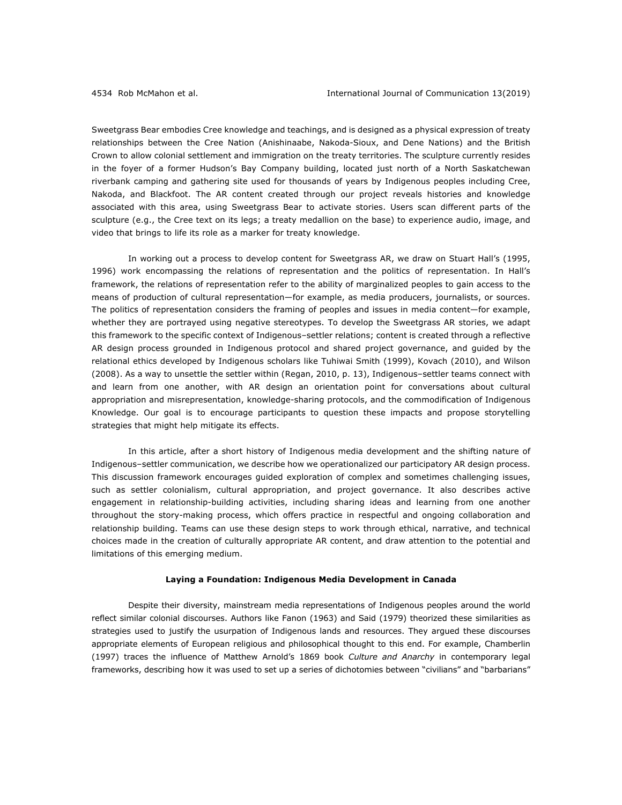Sweetgrass Bear embodies Cree knowledge and teachings, and is designed as a physical expression of treaty relationships between the Cree Nation (Anishinaabe, Nakoda-Sioux, and Dene Nations) and the British Crown to allow colonial settlement and immigration on the treaty territories. The sculpture currently resides in the foyer of a former Hudson's Bay Company building, located just north of a North Saskatchewan riverbank camping and gathering site used for thousands of years by Indigenous peoples including Cree, Nakoda, and Blackfoot. The AR content created through our project reveals histories and knowledge associated with this area, using Sweetgrass Bear to activate stories. Users scan different parts of the sculpture (e.g., the Cree text on its legs; a treaty medallion on the base) to experience audio, image, and video that brings to life its role as a marker for treaty knowledge.

In working out a process to develop content for Sweetgrass AR, we draw on Stuart Hall's (1995, 1996) work encompassing the relations of representation and the politics of representation. In Hall's framework, the relations of representation refer to the ability of marginalized peoples to gain access to the means of production of cultural representation—for example, as media producers, journalists, or sources. The politics of representation considers the framing of peoples and issues in media content—for example, whether they are portrayed using negative stereotypes. To develop the Sweetgrass AR stories, we adapt this framework to the specific context of Indigenous–settler relations; content is created through a reflective AR design process grounded in Indigenous protocol and shared project governance, and guided by the relational ethics developed by Indigenous scholars like Tuhiwai Smith (1999), Kovach (2010), and Wilson (2008). As a way to unsettle the settler within (Regan, 2010, p. 13), Indigenous–settler teams connect with and learn from one another, with AR design an orientation point for conversations about cultural appropriation and misrepresentation, knowledge-sharing protocols, and the commodification of Indigenous Knowledge. Our goal is to encourage participants to question these impacts and propose storytelling strategies that might help mitigate its effects.

In this article, after a short history of Indigenous media development and the shifting nature of Indigenous–settler communication, we describe how we operationalized our participatory AR design process. This discussion framework encourages guided exploration of complex and sometimes challenging issues, such as settler colonialism, cultural appropriation, and project governance. It also describes active engagement in relationship-building activities, including sharing ideas and learning from one another throughout the story-making process, which offers practice in respectful and ongoing collaboration and relationship building. Teams can use these design steps to work through ethical, narrative, and technical choices made in the creation of culturally appropriate AR content, and draw attention to the potential and limitations of this emerging medium.

#### **Laying a Foundation: Indigenous Media Development in Canada**

Despite their diversity, mainstream media representations of Indigenous peoples around the world reflect similar colonial discourses. Authors like Fanon (1963) and Said (1979) theorized these similarities as strategies used to justify the usurpation of Indigenous lands and resources. They argued these discourses appropriate elements of European religious and philosophical thought to this end. For example, Chamberlin (1997) traces the influence of Matthew Arnold's 1869 book *Culture and Anarchy* in contemporary legal frameworks, describing how it was used to set up a series of dichotomies between "civilians" and "barbarians"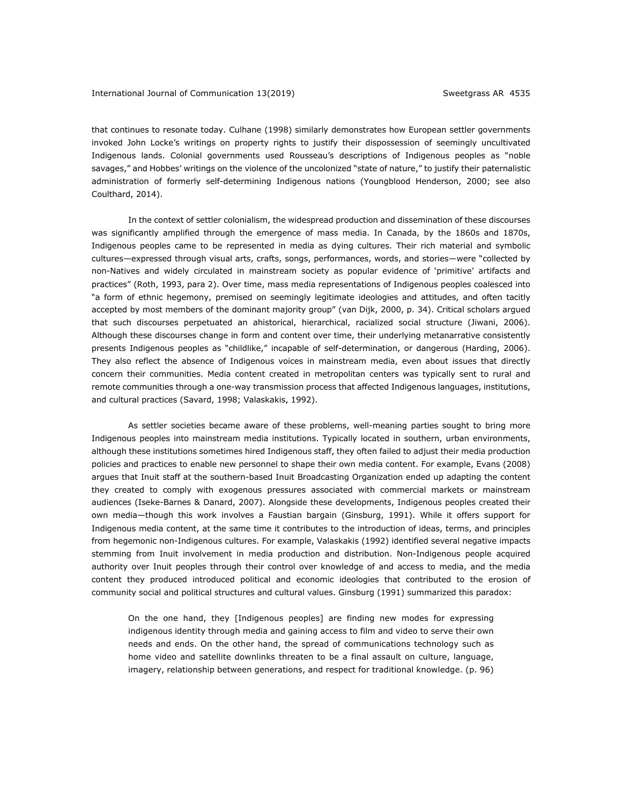that continues to resonate today. Culhane (1998) similarly demonstrates how European settler governments invoked John Locke's writings on property rights to justify their dispossession of seemingly uncultivated Indigenous lands. Colonial governments used Rousseau's descriptions of Indigenous peoples as "noble savages," and Hobbes' writings on the violence of the uncolonized "state of nature," to justify their paternalistic administration of formerly self-determining Indigenous nations (Youngblood Henderson, 2000; see also Coulthard, 2014).

In the context of settler colonialism, the widespread production and dissemination of these discourses was significantly amplified through the emergence of mass media. In Canada, by the 1860s and 1870s, Indigenous peoples came to be represented in media as dying cultures. Their rich material and symbolic cultures—expressed through visual arts, crafts, songs, performances, words, and stories—were "collected by non-Natives and widely circulated in mainstream society as popular evidence of 'primitive' artifacts and practices" (Roth, 1993, para 2). Over time, mass media representations of Indigenous peoples coalesced into "a form of ethnic hegemony, premised on seemingly legitimate ideologies and attitudes, and often tacitly accepted by most members of the dominant majority group" (van Dijk, 2000, p. 34). Critical scholars argued that such discourses perpetuated an ahistorical, hierarchical, racialized social structure (Jiwani, 2006). Although these discourses change in form and content over time, their underlying metanarrative consistently presents Indigenous peoples as "childlike," incapable of self-determination, or dangerous (Harding, 2006). They also reflect the absence of Indigenous voices in mainstream media, even about issues that directly concern their communities. Media content created in metropolitan centers was typically sent to rural and remote communities through a one-way transmission process that affected Indigenous languages, institutions, and cultural practices (Savard, 1998; Valaskakis, 1992).

As settler societies became aware of these problems, well-meaning parties sought to bring more Indigenous peoples into mainstream media institutions. Typically located in southern, urban environments, although these institutions sometimes hired Indigenous staff, they often failed to adjust their media production policies and practices to enable new personnel to shape their own media content. For example, Evans (2008) argues that Inuit staff at the southern-based Inuit Broadcasting Organization ended up adapting the content they created to comply with exogenous pressures associated with commercial markets or mainstream audiences (Iseke-Barnes & Danard, 2007). Alongside these developments, Indigenous peoples created their own media—though this work involves a Faustian bargain (Ginsburg, 1991). While it offers support for Indigenous media content, at the same time it contributes to the introduction of ideas, terms, and principles from hegemonic non-Indigenous cultures. For example, Valaskakis (1992) identified several negative impacts stemming from Inuit involvement in media production and distribution. Non-Indigenous people acquired authority over Inuit peoples through their control over knowledge of and access to media, and the media content they produced introduced political and economic ideologies that contributed to the erosion of community social and political structures and cultural values. Ginsburg (1991) summarized this paradox:

On the one hand, they [Indigenous peoples] are finding new modes for expressing indigenous identity through media and gaining access to film and video to serve their own needs and ends. On the other hand, the spread of communications technology such as home video and satellite downlinks threaten to be a final assault on culture, language, imagery, relationship between generations, and respect for traditional knowledge. (p. 96)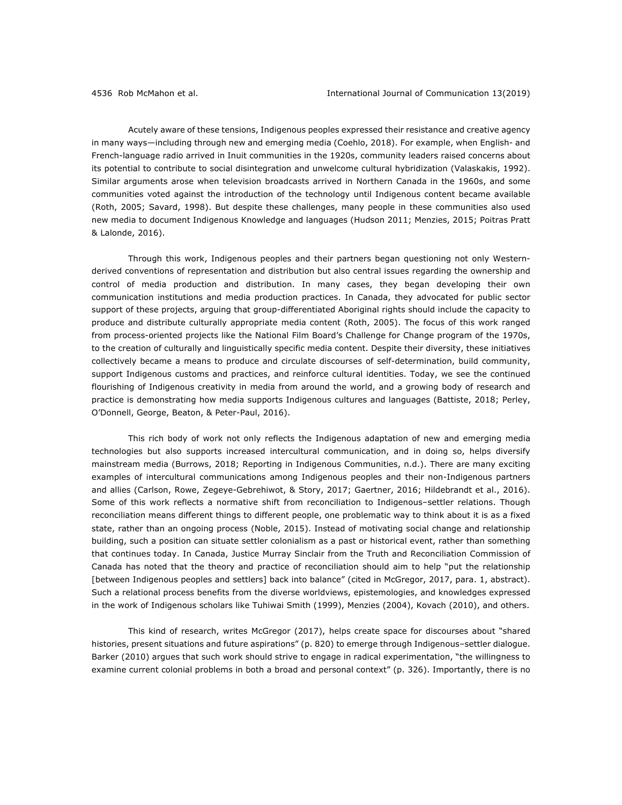Acutely aware of these tensions, Indigenous peoples expressed their resistance and creative agency in many ways—including through new and emerging media (Coehlo, 2018). For example, when English- and French-language radio arrived in Inuit communities in the 1920s, community leaders raised concerns about its potential to contribute to social disintegration and unwelcome cultural hybridization (Valaskakis, 1992). Similar arguments arose when television broadcasts arrived in Northern Canada in the 1960s, and some communities voted against the introduction of the technology until Indigenous content became available (Roth, 2005; Savard, 1998). But despite these challenges, many people in these communities also used new media to document Indigenous Knowledge and languages (Hudson 2011; Menzies, 2015; Poitras Pratt & Lalonde, 2016).

Through this work, Indigenous peoples and their partners began questioning not only Westernderived conventions of representation and distribution but also central issues regarding the ownership and control of media production and distribution. In many cases, they began developing their own communication institutions and media production practices. In Canada, they advocated for public sector support of these projects, arguing that group-differentiated Aboriginal rights should include the capacity to produce and distribute culturally appropriate media content (Roth, 2005). The focus of this work ranged from process-oriented projects like the National Film Board's Challenge for Change program of the 1970s, to the creation of culturally and linguistically specific media content. Despite their diversity, these initiatives collectively became a means to produce and circulate discourses of self-determination, build community, support Indigenous customs and practices, and reinforce cultural identities. Today, we see the continued flourishing of Indigenous creativity in media from around the world, and a growing body of research and practice is demonstrating how media supports Indigenous cultures and languages (Battiste, 2018; Perley, O'Donnell, George, Beaton, & Peter-Paul, 2016).

This rich body of work not only reflects the Indigenous adaptation of new and emerging media technologies but also supports increased intercultural communication, and in doing so, helps diversify mainstream media (Burrows, 2018; Reporting in Indigenous Communities, n.d.). There are many exciting examples of intercultural communications among Indigenous peoples and their non-Indigenous partners and allies (Carlson, Rowe, Zegeye-Gebrehiwot, & Story, 2017; Gaertner, 2016; Hildebrandt et al., 2016). Some of this work reflects a normative shift from reconciliation to Indigenous–settler relations. Though reconciliation means different things to different people, one problematic way to think about it is as a fixed state, rather than an ongoing process (Noble, 2015). Instead of motivating social change and relationship building, such a position can situate settler colonialism as a past or historical event, rather than something that continues today. In Canada, Justice Murray Sinclair from the Truth and Reconciliation Commission of Canada has noted that the theory and practice of reconciliation should aim to help "put the relationship [between Indigenous peoples and settlers] back into balance" (cited in McGregor, 2017, para. 1, abstract). Such a relational process benefits from the diverse worldviews, epistemologies, and knowledges expressed in the work of Indigenous scholars like Tuhiwai Smith (1999), Menzies (2004), Kovach (2010), and others.

This kind of research, writes McGregor (2017), helps create space for discourses about "shared histories, present situations and future aspirations" (p. 820) to emerge through Indigenous–settler dialogue. Barker (2010) argues that such work should strive to engage in radical experimentation, "the willingness to examine current colonial problems in both a broad and personal context" (p. 326). Importantly, there is no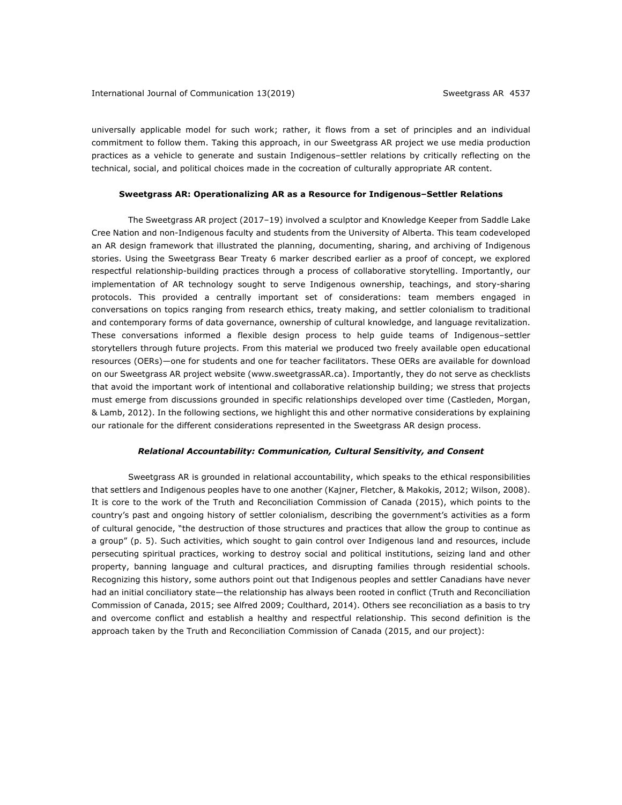universally applicable model for such work; rather, it flows from a set of principles and an individual commitment to follow them. Taking this approach, in our Sweetgrass AR project we use media production practices as a vehicle to generate and sustain Indigenous–settler relations by critically reflecting on the technical, social, and political choices made in the cocreation of culturally appropriate AR content.

#### **Sweetgrass AR: Operationalizing AR as a Resource for Indigenous–Settler Relations**

The Sweetgrass AR project (2017–19) involved a sculptor and Knowledge Keeper from Saddle Lake Cree Nation and non-Indigenous faculty and students from the University of Alberta. This team codeveloped an AR design framework that illustrated the planning, documenting, sharing, and archiving of Indigenous stories. Using the Sweetgrass Bear Treaty 6 marker described earlier as a proof of concept, we explored respectful relationship-building practices through a process of collaborative storytelling. Importantly, our implementation of AR technology sought to serve Indigenous ownership, teachings, and story-sharing protocols. This provided a centrally important set of considerations: team members engaged in conversations on topics ranging from research ethics, treaty making, and settler colonialism to traditional and contemporary forms of data governance, ownership of cultural knowledge, and language revitalization. These conversations informed a flexible design process to help guide teams of Indigenous–settler storytellers through future projects. From this material we produced two freely available open educational resources (OERs)—one for students and one for teacher facilitators. These OERs are available for download on our Sweetgrass AR project website (www.sweetgrassAR.ca). Importantly, they do not serve as checklists that avoid the important work of intentional and collaborative relationship building; we stress that projects must emerge from discussions grounded in specific relationships developed over time (Castleden, Morgan, & Lamb, 2012). In the following sections, we highlight this and other normative considerations by explaining our rationale for the different considerations represented in the Sweetgrass AR design process.

## *Relational Accountability: Communication, Cultural Sensitivity, and Consent*

Sweetgrass AR is grounded in relational accountability, which speaks to the ethical responsibilities that settlers and Indigenous peoples have to one another (Kajner, Fletcher, & Makokis, 2012; Wilson, 2008). It is core to the work of the Truth and Reconciliation Commission of Canada (2015), which points to the country's past and ongoing history of settler colonialism, describing the government's activities as a form of cultural genocide, "the destruction of those structures and practices that allow the group to continue as a group" (p. 5). Such activities, which sought to gain control over Indigenous land and resources, include persecuting spiritual practices, working to destroy social and political institutions, seizing land and other property, banning language and cultural practices, and disrupting families through residential schools. Recognizing this history, some authors point out that Indigenous peoples and settler Canadians have never had an initial conciliatory state—the relationship has always been rooted in conflict (Truth and Reconciliation Commission of Canada, 2015; see Alfred 2009; Coulthard, 2014). Others see reconciliation as a basis to try and overcome conflict and establish a healthy and respectful relationship. This second definition is the approach taken by the Truth and Reconciliation Commission of Canada (2015, and our project):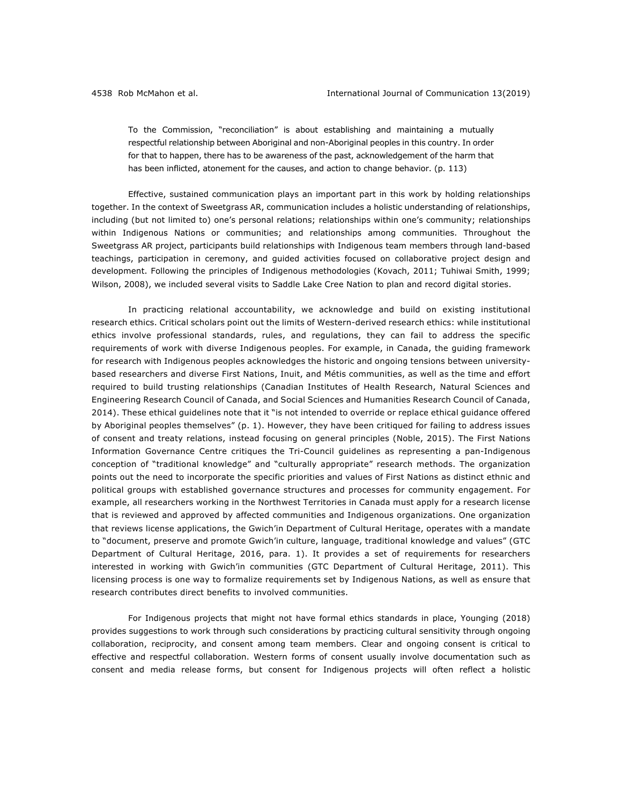To the Commission, "reconciliation" is about establishing and maintaining a mutually respectful relationship between Aboriginal and non-Aboriginal peoples in this country. In order for that to happen, there has to be awareness of the past, acknowledgement of the harm that has been inflicted, atonement for the causes, and action to change behavior. (p. 113)

Effective, sustained communication plays an important part in this work by holding relationships together. In the context of Sweetgrass AR, communication includes a holistic understanding of relationships, including (but not limited to) one's personal relations; relationships within one's community; relationships within Indigenous Nations or communities; and relationships among communities. Throughout the Sweetgrass AR project, participants build relationships with Indigenous team members through land-based teachings, participation in ceremony, and guided activities focused on collaborative project design and development. Following the principles of Indigenous methodologies (Kovach, 2011; Tuhiwai Smith, 1999; Wilson, 2008), we included several visits to Saddle Lake Cree Nation to plan and record digital stories.

In practicing relational accountability, we acknowledge and build on existing institutional research ethics. Critical scholars point out the limits of Western-derived research ethics: while institutional ethics involve professional standards, rules, and regulations, they can fail to address the specific requirements of work with diverse Indigenous peoples. For example, in Canada, the guiding framework for research with Indigenous peoples acknowledges the historic and ongoing tensions between universitybased researchers and diverse First Nations, Inuit, and Métis communities, as well as the time and effort required to build trusting relationships (Canadian Institutes of Health Research, Natural Sciences and Engineering Research Council of Canada, and Social Sciences and Humanities Research Council of Canada, 2014). These ethical guidelines note that it "is not intended to override or replace ethical guidance offered by Aboriginal peoples themselves" (p. 1). However, they have been critiqued for failing to address issues of consent and treaty relations, instead focusing on general principles (Noble, 2015). The First Nations Information Governance Centre critiques the Tri-Council guidelines as representing a pan-Indigenous conception of "traditional knowledge" and "culturally appropriate" research methods. The organization points out the need to incorporate the specific priorities and values of First Nations as distinct ethnic and political groups with established governance structures and processes for community engagement. For example, all researchers working in the Northwest Territories in Canada must apply for a research license that is reviewed and approved by affected communities and Indigenous organizations. One organization that reviews license applications, the Gwich'in Department of Cultural Heritage, operates with a mandate to "document, preserve and promote Gwich'in culture, language, traditional knowledge and values" (GTC Department of Cultural Heritage, 2016, para. 1). It provides a set of requirements for researchers interested in working with Gwich'in communities (GTC Department of Cultural Heritage, 2011). This licensing process is one way to formalize requirements set by Indigenous Nations, as well as ensure that research contributes direct benefits to involved communities.

For Indigenous projects that might not have formal ethics standards in place, Younging (2018) provides suggestions to work through such considerations by practicing cultural sensitivity through ongoing collaboration, reciprocity, and consent among team members. Clear and ongoing consent is critical to effective and respectful collaboration. Western forms of consent usually involve documentation such as consent and media release forms, but consent for Indigenous projects will often reflect a holistic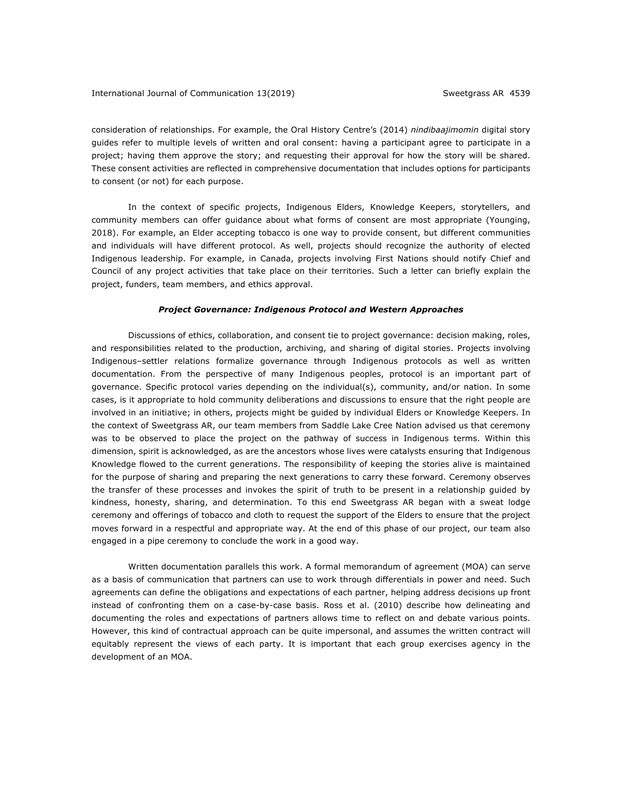consideration of relationships. For example, the Oral History Centre's (2014) *nindibaajimomin* digital story guides refer to multiple levels of written and oral consent: having a participant agree to participate in a project; having them approve the story; and requesting their approval for how the story will be shared. These consent activities are reflected in comprehensive documentation that includes options for participants to consent (or not) for each purpose.

In the context of specific projects, Indigenous Elders, Knowledge Keepers, storytellers, and community members can offer guidance about what forms of consent are most appropriate (Younging, 2018). For example, an Elder accepting tobacco is one way to provide consent, but different communities and individuals will have different protocol. As well, projects should recognize the authority of elected Indigenous leadership. For example, in Canada, projects involving First Nations should notify Chief and Council of any project activities that take place on their territories. Such a letter can briefly explain the project, funders, team members, and ethics approval.

#### *Project Governance: Indigenous Protocol and Western Approaches*

Discussions of ethics, collaboration, and consent tie to project governance: decision making, roles, and responsibilities related to the production, archiving, and sharing of digital stories. Projects involving Indigenous–settler relations formalize governance through Indigenous protocols as well as written documentation. From the perspective of many Indigenous peoples, protocol is an important part of governance. Specific protocol varies depending on the individual(s), community, and/or nation. In some cases, is it appropriate to hold community deliberations and discussions to ensure that the right people are involved in an initiative; in others, projects might be guided by individual Elders or Knowledge Keepers. In the context of Sweetgrass AR, our team members from Saddle Lake Cree Nation advised us that ceremony was to be observed to place the project on the pathway of success in Indigenous terms. Within this dimension, spirit is acknowledged, as are the ancestors whose lives were catalysts ensuring that Indigenous Knowledge flowed to the current generations. The responsibility of keeping the stories alive is maintained for the purpose of sharing and preparing the next generations to carry these forward. Ceremony observes the transfer of these processes and invokes the spirit of truth to be present in a relationship guided by kindness, honesty, sharing, and determination. To this end Sweetgrass AR began with a sweat lodge ceremony and offerings of tobacco and cloth to request the support of the Elders to ensure that the project moves forward in a respectful and appropriate way. At the end of this phase of our project, our team also engaged in a pipe ceremony to conclude the work in a good way.

Written documentation parallels this work. A formal memorandum of agreement (MOA) can serve as a basis of communication that partners can use to work through differentials in power and need. Such agreements can define the obligations and expectations of each partner, helping address decisions up front instead of confronting them on a case-by-case basis. Ross et al. (2010) describe how delineating and documenting the roles and expectations of partners allows time to reflect on and debate various points. However, this kind of contractual approach can be quite impersonal, and assumes the written contract will equitably represent the views of each party. It is important that each group exercises agency in the development of an MOA.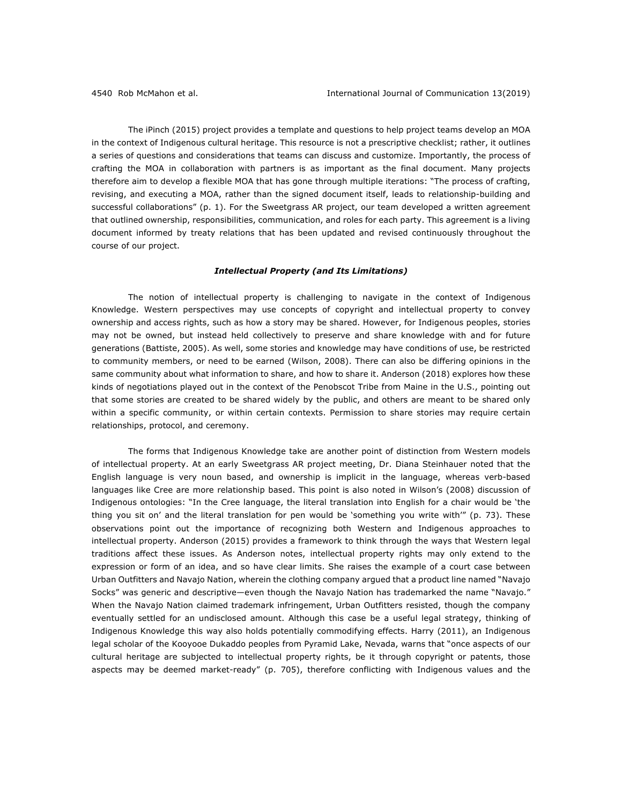The iPinch (2015) project provides a template and questions to help project teams develop an MOA in the context of Indigenous cultural heritage. This resource is not a prescriptive checklist; rather, it outlines a series of questions and considerations that teams can discuss and customize. Importantly, the process of crafting the MOA in collaboration with partners is as important as the final document. Many projects therefore aim to develop a flexible MOA that has gone through multiple iterations: "The process of crafting, revising, and executing a MOA, rather than the signed document itself, leads to relationship-building and successful collaborations" (p. 1). For the Sweetgrass AR project, our team developed a written agreement that outlined ownership, responsibilities, communication, and roles for each party. This agreement is a living document informed by treaty relations that has been updated and revised continuously throughout the course of our project.

## *Intellectual Property (and Its Limitations)*

The notion of intellectual property is challenging to navigate in the context of Indigenous Knowledge. Western perspectives may use concepts of copyright and intellectual property to convey ownership and access rights, such as how a story may be shared. However, for Indigenous peoples, stories may not be owned, but instead held collectively to preserve and share knowledge with and for future generations (Battiste, 2005). As well, some stories and knowledge may have conditions of use, be restricted to community members, or need to be earned (Wilson, 2008). There can also be differing opinions in the same community about what information to share, and how to share it. Anderson (2018) explores how these kinds of negotiations played out in the context of the Penobscot Tribe from Maine in the U.S., pointing out that some stories are created to be shared widely by the public, and others are meant to be shared only within a specific community, or within certain contexts. Permission to share stories may require certain relationships, protocol, and ceremony.

The forms that Indigenous Knowledge take are another point of distinction from Western models of intellectual property. At an early Sweetgrass AR project meeting, Dr. Diana Steinhauer noted that the English language is very noun based, and ownership is implicit in the language, whereas verb-based languages like Cree are more relationship based. This point is also noted in Wilson's (2008) discussion of Indigenous ontologies: "In the Cree language, the literal translation into English for a chair would be 'the thing you sit on' and the literal translation for pen would be 'something you write with'" (p. 73). These observations point out the importance of recognizing both Western and Indigenous approaches to intellectual property. Anderson (2015) provides a framework to think through the ways that Western legal traditions affect these issues. As Anderson notes, intellectual property rights may only extend to the expression or form of an idea, and so have clear limits. She raises the example of a court case between Urban Outfitters and Navajo Nation, wherein the clothing company argued that a product line named "Navajo Socks" was generic and descriptive—even though the Navajo Nation has trademarked the name "Navajo." When the Navajo Nation claimed trademark infringement, Urban Outfitters resisted, though the company eventually settled for an undisclosed amount. Although this case be a useful legal strategy, thinking of Indigenous Knowledge this way also holds potentially commodifying effects. Harry (2011), an Indigenous legal scholar of the Kooyooe Dukaddo peoples from Pyramid Lake, Nevada, warns that "once aspects of our cultural heritage are subjected to intellectual property rights, be it through copyright or patents, those aspects may be deemed market-ready" (p. 705), therefore conflicting with Indigenous values and the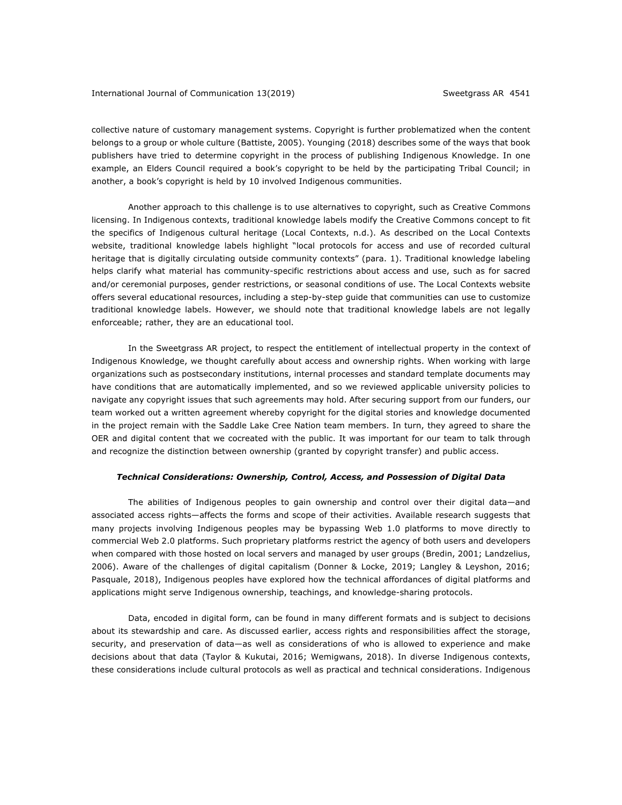collective nature of customary management systems. Copyright is further problematized when the content belongs to a group or whole culture (Battiste, 2005). Younging (2018) describes some of the ways that book publishers have tried to determine copyright in the process of publishing Indigenous Knowledge. In one example, an Elders Council required a book's copyright to be held by the participating Tribal Council; in another, a book's copyright is held by 10 involved Indigenous communities.

Another approach to this challenge is to use alternatives to copyright, such as Creative Commons licensing. In Indigenous contexts, traditional knowledge labels modify the Creative Commons concept to fit the specifics of Indigenous cultural heritage (Local Contexts, n.d.). As described on the Local Contexts website, traditional knowledge labels highlight "local protocols for access and use of recorded cultural heritage that is digitally circulating outside community contexts" (para. 1). Traditional knowledge labeling helps clarify what material has community-specific restrictions about access and use, such as for sacred and/or ceremonial purposes, gender restrictions, or seasonal conditions of use. The Local Contexts website offers several educational resources, including a step-by-step guide that communities can use to customize traditional knowledge labels. However, we should note that traditional knowledge labels are not legally enforceable; rather, they are an educational tool.

In the Sweetgrass AR project, to respect the entitlement of intellectual property in the context of Indigenous Knowledge, we thought carefully about access and ownership rights. When working with large organizations such as postsecondary institutions, internal processes and standard template documents may have conditions that are automatically implemented, and so we reviewed applicable university policies to navigate any copyright issues that such agreements may hold. After securing support from our funders, our team worked out a written agreement whereby copyright for the digital stories and knowledge documented in the project remain with the Saddle Lake Cree Nation team members. In turn, they agreed to share the OER and digital content that we cocreated with the public. It was important for our team to talk through and recognize the distinction between ownership (granted by copyright transfer) and public access.

### *Technical Considerations: Ownership, Control, Access, and Possession of Digital Data*

The abilities of Indigenous peoples to gain ownership and control over their digital data—and associated access rights—affects the forms and scope of their activities. Available research suggests that many projects involving Indigenous peoples may be bypassing Web 1.0 platforms to move directly to commercial Web 2.0 platforms. Such proprietary platforms restrict the agency of both users and developers when compared with those hosted on local servers and managed by user groups (Bredin, 2001; Landzelius, 2006). Aware of the challenges of digital capitalism (Donner & Locke, 2019; Langley & Leyshon, 2016; Pasquale, 2018), Indigenous peoples have explored how the technical affordances of digital platforms and applications might serve Indigenous ownership, teachings, and knowledge-sharing protocols.

Data, encoded in digital form, can be found in many different formats and is subject to decisions about its stewardship and care. As discussed earlier, access rights and responsibilities affect the storage, security, and preservation of data—as well as considerations of who is allowed to experience and make decisions about that data (Taylor & Kukutai, 2016; Wemigwans, 2018). In diverse Indigenous contexts, these considerations include cultural protocols as well as practical and technical considerations. Indigenous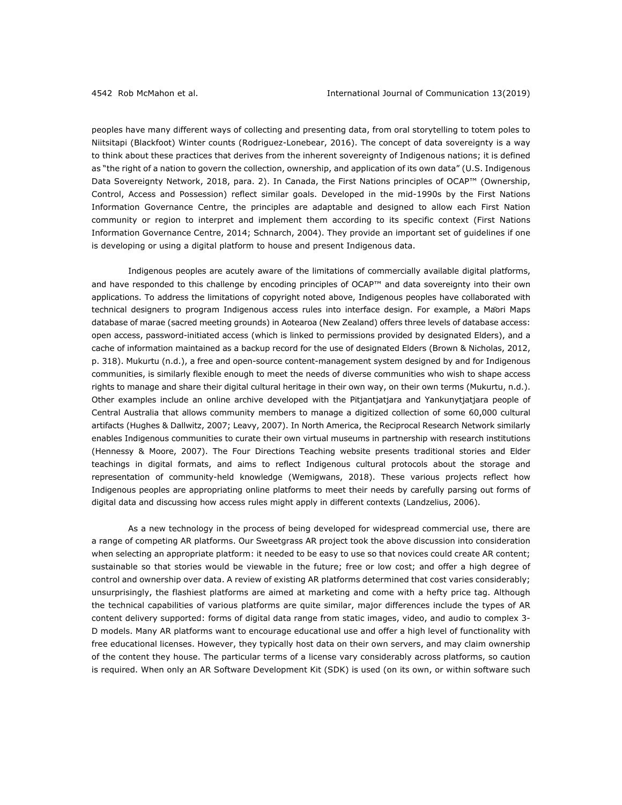peoples have many different ways of collecting and presenting data, from oral storytelling to totem poles to Niitsitapi (Blackfoot) Winter counts (Rodriguez-Lonebear, 2016). The concept of data sovereignty is a way to think about these practices that derives from the inherent sovereignty of Indigenous nations; it is defined as "the right of a nation to govern the collection, ownership, and application of its own data" (U.S. Indigenous Data Sovereignty Network, 2018, para. 2). In Canada, the First Nations principles of OCAP™ (Ownership, Control, Access and Possession) reflect similar goals. Developed in the mid-1990s by the First Nations Information Governance Centre, the principles are adaptable and designed to allow each First Nation community or region to interpret and implement them according to its specific context (First Nations Information Governance Centre, 2014; Schnarch, 2004). They provide an important set of guidelines if one is developing or using a digital platform to house and present Indigenous data.

Indigenous peoples are acutely aware of the limitations of commercially available digital platforms, and have responded to this challenge by encoding principles of OCAP™ and data sovereignty into their own applications. To address the limitations of copyright noted above, Indigenous peoples have collaborated with technical designers to program Indigenous access rules into interface design. For example, a Māori Maps database of marae (sacred meeting grounds) in Aotearoa (New Zealand) offers three levels of database access: open access, password-initiated access (which is linked to permissions provided by designated Elders), and a cache of information maintained as a backup record for the use of designated Elders (Brown & Nicholas, 2012, p. 318). Mukurtu (n.d.), a free and open-source content-management system designed by and for Indigenous communities, is similarly flexible enough to meet the needs of diverse communities who wish to shape access rights to manage and share their digital cultural heritage in their own way, on their own terms (Mukurtu, n.d.). Other examples include an online archive developed with the Pitjantjatjara and Yankunytjatjara people of Central Australia that allows community members to manage a digitized collection of some 60,000 cultural artifacts (Hughes & Dallwitz, 2007; Leavy, 2007). In North America, the Reciprocal Research Network similarly enables Indigenous communities to curate their own virtual museums in partnership with research institutions (Hennessy & Moore, 2007). The Four Directions Teaching website presents traditional stories and Elder teachings in digital formats, and aims to reflect Indigenous cultural protocols about the storage and representation of community-held knowledge (Wemigwans, 2018). These various projects reflect how Indigenous peoples are appropriating online platforms to meet their needs by carefully parsing out forms of digital data and discussing how access rules might apply in different contexts (Landzelius, 2006).

As a new technology in the process of being developed for widespread commercial use, there are a range of competing AR platforms. Our Sweetgrass AR project took the above discussion into consideration when selecting an appropriate platform: it needed to be easy to use so that novices could create AR content; sustainable so that stories would be viewable in the future; free or low cost; and offer a high degree of control and ownership over data. A review of existing AR platforms determined that cost varies considerably; unsurprisingly, the flashiest platforms are aimed at marketing and come with a hefty price tag. Although the technical capabilities of various platforms are quite similar, major differences include the types of AR content delivery supported: forms of digital data range from static images, video, and audio to complex 3- D models. Many AR platforms want to encourage educational use and offer a high level of functionality with free educational licenses. However, they typically host data on their own servers, and may claim ownership of the content they house. The particular terms of a license vary considerably across platforms, so caution is required. When only an AR Software Development Kit (SDK) is used (on its own, or within software such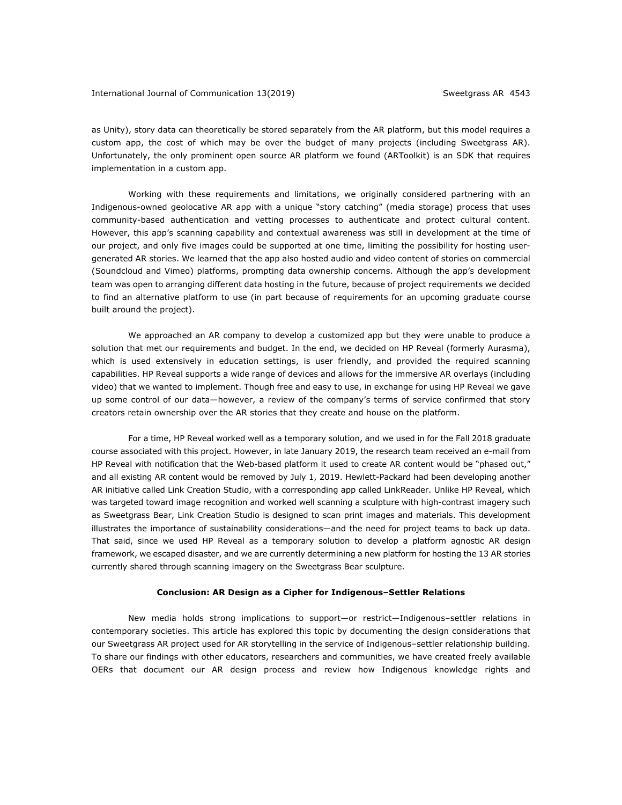as Unity), story data can theoretically be stored separately from the AR platform, but this model requires a custom app, the cost of which may be over the budget of many projects (including Sweetgrass AR). Unfortunately, the only prominent open source AR platform we found (ARToolkit) is an SDK that requires implementation in a custom app.

Working with these requirements and limitations, we originally considered partnering with an Indigenous-owned geolocative AR app with a unique "story catching" (media storage) process that uses community-based authentication and vetting processes to authenticate and protect cultural content. However, this app's scanning capability and contextual awareness was still in development at the time of our project, and only five images could be supported at one time, limiting the possibility for hosting usergenerated AR stories. We learned that the app also hosted audio and video content of stories on commercial (Soundcloud and Vimeo) platforms, prompting data ownership concerns. Although the app's development team was open to arranging different data hosting in the future, because of project requirements we decided to find an alternative platform to use (in part because of requirements for an upcoming graduate course built around the project).

We approached an AR company to develop a customized app but they were unable to produce a solution that met our requirements and budget. In the end, we decided on HP Reveal (formerly Aurasma), which is used extensively in education settings, is user friendly, and provided the required scanning capabilities. HP Reveal supports a wide range of devices and allows for the immersive AR overlays (including video) that we wanted to implement. Though free and easy to use, in exchange for using HP Reveal we gave up some control of our data—however, a review of the company's terms of service confirmed that story creators retain ownership over the AR stories that they create and house on the platform.

For a time, HP Reveal worked well as a temporary solution, and we used in for the Fall 2018 graduate course associated with this project. However, in late January 2019, the research team received an e-mail from HP Reveal with notification that the Web-based platform it used to create AR content would be "phased out," and all existing AR content would be removed by July 1, 2019. Hewlett-Packard had been developing another AR initiative called Link Creation Studio, with a corresponding app called LinkReader. Unlike HP Reveal, which was targeted toward image recognition and worked well scanning a sculpture with high-contrast imagery such as Sweetgrass Bear, Link Creation Studio is designed to scan print images and materials. This development illustrates the importance of sustainability considerations—and the need for project teams to back up data. That said, since we used HP Reveal as a temporary solution to develop a platform agnostic AR design framework, we escaped disaster, and we are currently determining a new platform for hosting the 13 AR stories currently shared through scanning imagery on the Sweetgrass Bear sculpture.

### **Conclusion: AR Design as a Cipher for Indigenous–Settler Relations**

New media holds strong implications to support—or restrict—Indigenous–settler relations in contemporary societies. This article has explored this topic by documenting the design considerations that our Sweetgrass AR project used for AR storytelling in the service of Indigenous–settler relationship building. To share our findings with other educators, researchers and communities, we have created freely available OERs that document our AR design process and review how Indigenous knowledge rights and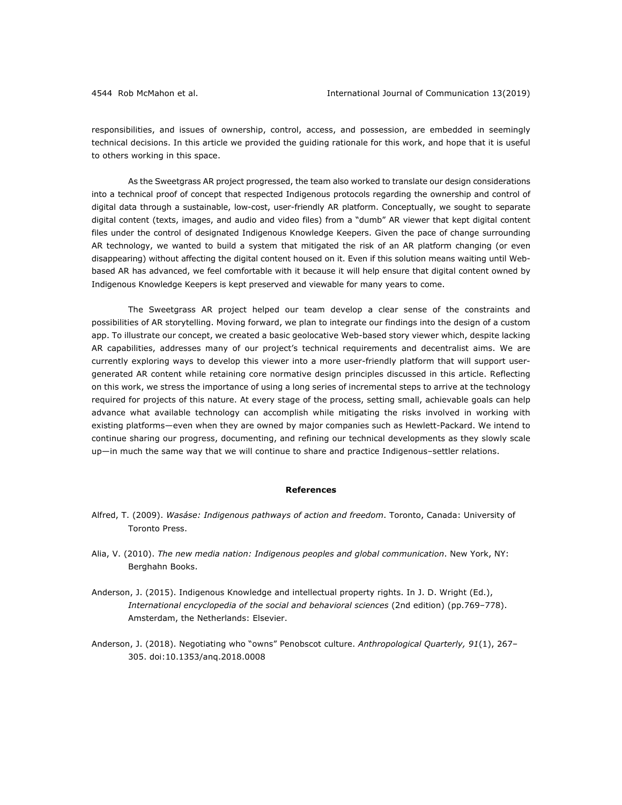responsibilities, and issues of ownership, control, access, and possession, are embedded in seemingly technical decisions. In this article we provided the guiding rationale for this work, and hope that it is useful to others working in this space.

As the Sweetgrass AR project progressed, the team also worked to translate our design considerations into a technical proof of concept that respected Indigenous protocols regarding the ownership and control of digital data through a sustainable, low-cost, user-friendly AR platform. Conceptually, we sought to separate digital content (texts, images, and audio and video files) from a "dumb" AR viewer that kept digital content files under the control of designated Indigenous Knowledge Keepers. Given the pace of change surrounding AR technology, we wanted to build a system that mitigated the risk of an AR platform changing (or even disappearing) without affecting the digital content housed on it. Even if this solution means waiting until Webbased AR has advanced, we feel comfortable with it because it will help ensure that digital content owned by Indigenous Knowledge Keepers is kept preserved and viewable for many years to come.

The Sweetgrass AR project helped our team develop a clear sense of the constraints and possibilities of AR storytelling. Moving forward, we plan to integrate our findings into the design of a custom app. To illustrate our concept, we created a basic geolocative Web-based story viewer which, despite lacking AR capabilities, addresses many of our project's technical requirements and decentralist aims. We are currently exploring ways to develop this viewer into a more user-friendly platform that will support usergenerated AR content while retaining core normative design principles discussed in this article. Reflecting on this work, we stress the importance of using a long series of incremental steps to arrive at the technology required for projects of this nature. At every stage of the process, setting small, achievable goals can help advance what available technology can accomplish while mitigating the risks involved in working with existing platforms—even when they are owned by major companies such as Hewlett-Packard. We intend to continue sharing our progress, documenting, and refining our technical developments as they slowly scale up—in much the same way that we will continue to share and practice Indigenous–settler relations.

#### **References**

- Alfred, T. (2009). *Wasáse: Indigenous pathways of action and freedom*. Toronto, Canada: University of Toronto Press.
- Alia, V. (2010). *The new media nation: Indigenous peoples and global communication*. New York, NY: Berghahn Books.
- Anderson, J. (2015). Indigenous Knowledge and intellectual property rights. In J. D. Wright (Ed.), *International encyclopedia of the social and behavioral sciences* (2nd edition) (pp.769–778). Amsterdam, the Netherlands: Elsevier.
- Anderson, J. (2018). Negotiating who "owns" Penobscot culture. *Anthropological Quarterly, 91*(1), 267– 305. doi:10.1353/anq.2018.0008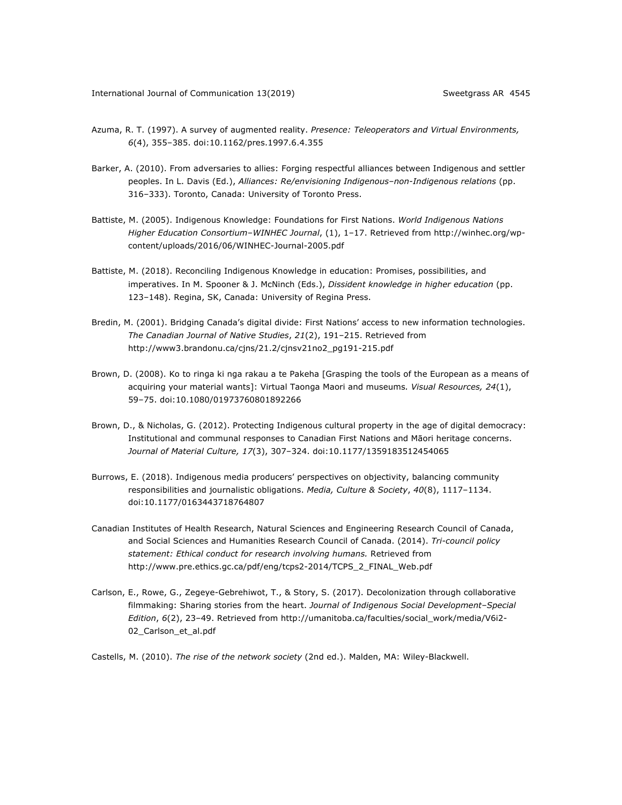- Azuma, R. T. (1997). A survey of augmented reality. *Presence: Teleoperators and Virtual Environments, 6*(4), 355–385. doi:10.1162/pres.1997.6.4.355
- Barker, A. (2010). From adversaries to allies: Forging respectful alliances between Indigenous and settler peoples. In L. Davis (Ed.), *Alliances: Re/envisioning Indigenous–non-Indigenous relations* (pp. 316–333). Toronto, Canada: University of Toronto Press.
- Battiste, M. (2005). Indigenous Knowledge: Foundations for First Nations. *World Indigenous Nations Higher Education Consortium–WINHEC Journal*, (1), 1–17. Retrieved from http://winhec.org/wpcontent/uploads/2016/06/WINHEC-Journal-2005.pdf
- Battiste, M. (2018). Reconciling Indigenous Knowledge in education: Promises, possibilities, and imperatives. In M. Spooner & J. McNinch (Eds.), *Dissident knowledge in higher education* (pp. 123–148). Regina, SK, Canada: University of Regina Press.
- Bredin, M. (2001). Bridging Canada's digital divide: First Nations' access to new information technologies. *The Canadian Journal of Native Studies*, *21*(2), 191–215. Retrieved from http://www3.brandonu.ca/cjns/21.2/cjnsv21no2\_pg191-215.pdf
- Brown, D. (2008). Ko to ringa ki nga rakau a te Pakeha [Grasping the tools of the European as a means of acquiring your material wants]: Virtual Taonga Maori and museums*. Visual Resources, 24*(1), 59–75. doi:10.1080/01973760801892266
- Brown, D., & Nicholas, G. (2012). Protecting Indigenous cultural property in the age of digital democracy: Institutional and communal responses to Canadian First Nations and Māori heritage concerns. *Journal of Material Culture, 17*(3), 307–324. doi:10.1177/1359183512454065
- Burrows, E. (2018). Indigenous media producers' perspectives on objectivity, balancing community responsibilities and journalistic obligations. *Media, Culture & Society*, *40*(8), 1117–1134. doi:10.1177/0163443718764807
- Canadian Institutes of Health Research, Natural Sciences and Engineering Research Council of Canada, and Social Sciences and Humanities Research Council of Canada. (2014). *Tri-council policy statement: Ethical conduct for research involving humans.* Retrieved from http://www.pre.ethics.gc.ca/pdf/eng/tcps2-2014/TCPS\_2\_FINAL\_Web.pdf
- Carlson, E., Rowe, G., Zegeye-Gebrehiwot, T., & Story, S. (2017). Decolonization through collaborative filmmaking: Sharing stories from the heart. *Journal of Indigenous Social Development–Special Edition*, *6*(2), 23–49. Retrieved from http://umanitoba.ca/faculties/social\_work/media/V6i2- 02\_Carlson\_et\_al.pdf

Castells, M. (2010). *The rise of the network society* (2nd ed.). Malden, MA: Wiley-Blackwell.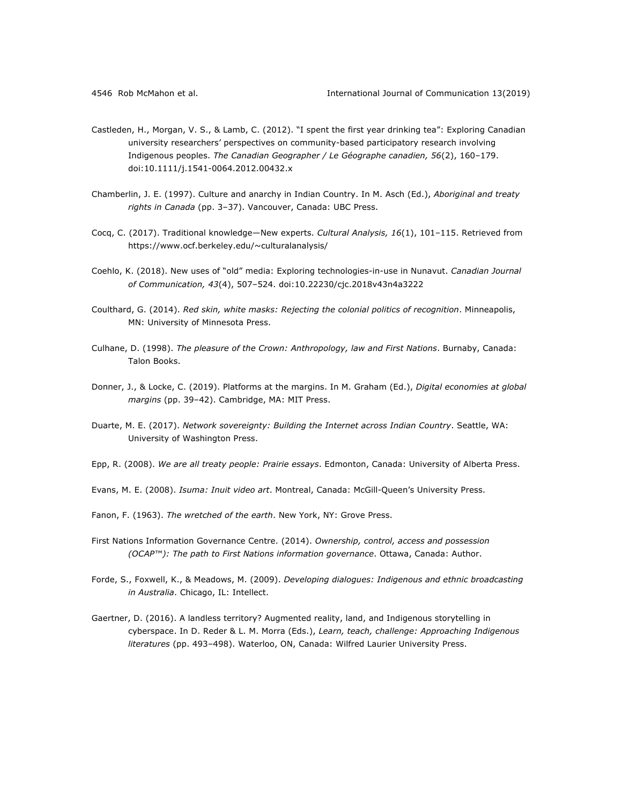- Castleden, H., Morgan, V. S., & Lamb, C. (2012). "I spent the first year drinking tea": Exploring Canadian university researchers' perspectives on community-based participatory research involving Indigenous peoples. *The Canadian Geographer / Le Géographe canadien, 56*(2), 160–179. doi:10.1111/j.1541-0064.2012.00432.x
- Chamberlin, J. E. (1997). Culture and anarchy in Indian Country. In M. Asch (Ed.), *Aboriginal and treaty rights in Canada* (pp. 3–37). Vancouver, Canada: UBC Press.
- Cocq, C. (2017). Traditional knowledge—New experts. *Cultural Analysis, 16*(1), 101–115. Retrieved from https://www.ocf.berkeley.edu/~culturalanalysis/
- Coehlo, K. (2018). New uses of "old" media: Exploring technologies-in-use in Nunavut. *Canadian Journal of Communication, 43*(4), 507–524. doi:10.22230/cjc.2018v43n4a3222
- Coulthard, G. (2014). *Red skin, white masks: Rejecting the colonial politics of recognition*. Minneapolis, MN: University of Minnesota Press.
- Culhane, D. (1998). *The pleasure of the Crown: Anthropology, law and First Nations*. Burnaby, Canada: Talon Books.
- Donner, J., & Locke, C. (2019). Platforms at the margins. In M. Graham (Ed.), *Digital economies at global margins* (pp. 39–42). Cambridge, MA: MIT Press.
- Duarte, M. E. (2017). *Network sovereignty: Building the Internet across Indian Country*. Seattle, WA: University of Washington Press.
- Epp, R. (2008). *We are all treaty people: Prairie essays*. Edmonton, Canada: University of Alberta Press.
- Evans, M. E. (2008). *Isuma: Inuit video art*. Montreal, Canada: McGill-Queen's University Press.
- Fanon, F. (1963). *The wretched of the earth*. New York, NY: Grove Press.
- First Nations Information Governance Centre. (2014). *Ownership, control, access and possession (OCAP™): The path to First Nations information governance*. Ottawa, Canada: Author.
- Forde, S., Foxwell, K., & Meadows, M. (2009). *Developing dialogues: Indigenous and ethnic broadcasting in Australia*. Chicago, IL: Intellect.
- Gaertner, D. (2016). A landless territory? Augmented reality, land, and Indigenous storytelling in cyberspace. In D. Reder & L. M. Morra (Eds.), *Learn, teach, challenge: Approaching Indigenous literatures* (pp. 493–498). Waterloo, ON, Canada: Wilfred Laurier University Press.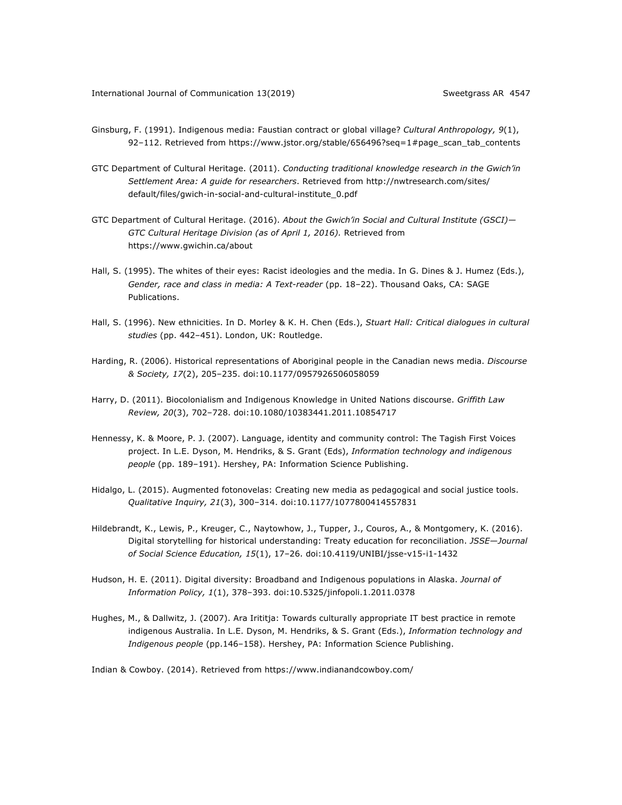- Ginsburg, F. (1991). Indigenous media: Faustian contract or global village? *Cultural Anthropology, 9*(1), 92–112. Retrieved from https://www.jstor.org/stable/656496?seq=1#page\_scan\_tab\_contents
- GTC Department of Cultural Heritage. (2011). *Conducting traditional knowledge research in the Gwich'in Settlement Area: A guide for researchers*. Retrieved from http://nwtresearch.com/sites/ default/files/gwich-in-social-and-cultural-institute\_0.pdf
- GTC Department of Cultural Heritage. (2016). *About the Gwich'in Social and Cultural Institute (GSCI)— GTC Cultural Heritage Division (as of April 1, 2016).* Retrieved from https://www.gwichin.ca/about
- Hall, S. (1995). The whites of their eyes: Racist ideologies and the media. In G. Dines & J. Humez (Eds.), *Gender, race and class in media: A Text-reader* (pp. 18–22). Thousand Oaks, CA: SAGE Publications.
- Hall, S. (1996). New ethnicities. In D. Morley & K. H. Chen (Eds.), *Stuart Hall: Critical dialogues in cultural studies* (pp. 442–451). London, UK: Routledge.
- Harding, R. (2006). Historical representations of Aboriginal people in the Canadian news media. *Discourse & Society, 17*(2), 205–235. doi:10.1177/0957926506058059
- Harry, D. (2011). Biocolonialism and Indigenous Knowledge in United Nations discourse. *Griffith Law Review, 20*(3), 702–728. doi:10.1080/10383441.2011.10854717
- Hennessy, K. & Moore, P. J. (2007). Language, identity and community control: The Tagish First Voices project. In L.E. Dyson, M. Hendriks, & S. Grant (Eds), *Information technology and indigenous people* (pp. 189–191). Hershey, PA: Information Science Publishing.
- Hidalgo, L. (2015). Augmented fotonovelas: Creating new media as pedagogical and social justice tools. *Qualitative Inquiry, 21*(3), 300–314. doi:10.1177/1077800414557831
- Hildebrandt, K., Lewis, P., Kreuger, C., Naytowhow, J., Tupper, J., Couros, A., & Montgomery, K. (2016). Digital storytelling for historical understanding: Treaty education for reconciliation. *JSSE—Journal of Social Science Education, 15*(1), 17–26. doi:10.4119/UNIBI/jsse-v15-i1-1432
- Hudson, H. E. (2011). Digital diversity: Broadband and Indigenous populations in Alaska. *Journal of Information Policy, 1*(1), 378–393. doi:10.5325/jinfopoli.1.2011.0378
- Hughes, M., & Dallwitz, J. (2007). Ara Irititja: Towards culturally appropriate IT best practice in remote indigenous Australia. In L.E. Dyson, M. Hendriks, & S. Grant (Eds.), *Information technology and Indigenous people* (pp.146–158). Hershey, PA: Information Science Publishing.

Indian & Cowboy. (2014). Retrieved from https://www.indianandcowboy.com/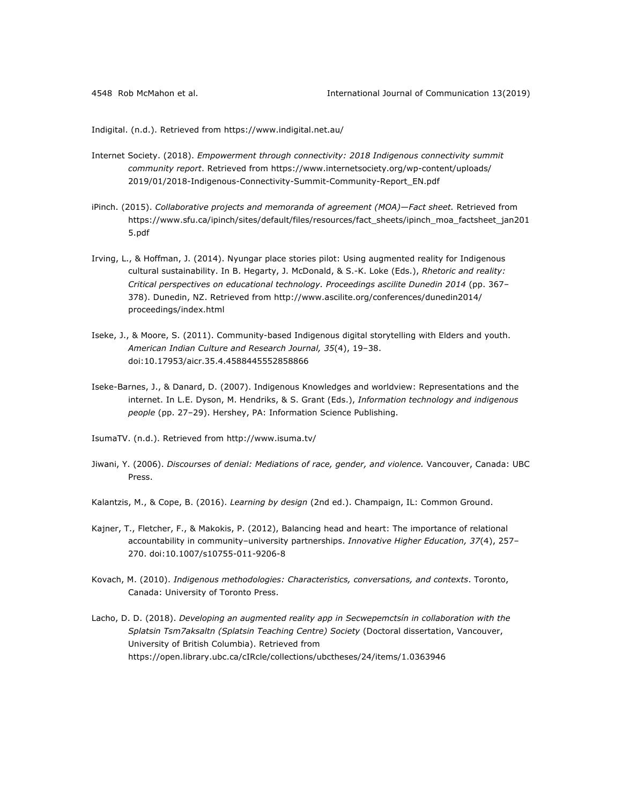Indigital. (n.d.). Retrieved from https://www.indigital.net.au/

- Internet Society. (2018). *Empowerment through connectivity: 2018 Indigenous connectivity summit community report*. Retrieved from https://www.internetsociety.org/wp-content/uploads/ 2019/01/2018-Indigenous-Connectivity-Summit-Community-Report\_EN.pdf
- iPinch. (2015). *Collaborative projects and memoranda of agreement (MOA)—Fact sheet.* Retrieved from https://www.sfu.ca/ipinch/sites/default/files/resources/fact\_sheets/ipinch\_moa\_factsheet\_jan201 5.pdf
- Irving, L., & Hoffman, J. (2014). Nyungar place stories pilot: Using augmented reality for Indigenous cultural sustainability. In B. Hegarty, J. McDonald, & S.-K. Loke (Eds.), *Rhetoric and reality: Critical perspectives on educational technology. Proceedings ascilite Dunedin 2014* (pp. 367– 378). Dunedin, NZ. Retrieved from http://www.ascilite.org/conferences/dunedin2014/ proceedings/index.html
- Iseke, J., & Moore, S. (2011). Community-based Indigenous digital storytelling with Elders and youth. *American Indian Culture and Research Journal, 35*(4), 19–38. doi:10.17953/aicr.35.4.4588445552858866
- Iseke-Barnes, J., & Danard, D. (2007). Indigenous Knowledges and worldview: Representations and the internet. In L.E. Dyson, M. Hendriks, & S. Grant (Eds.), *Information technology and indigenous people* (pp. 27–29). Hershey, PA: Information Science Publishing.
- IsumaTV. (n.d.). Retrieved from http://www.isuma.tv/
- Jiwani, Y. (2006). *Discourses of denial: Mediations of race, gender, and violence.* Vancouver, Canada: UBC Press.
- Kalantzis, M., & Cope, B. (2016). *Learning by design* (2nd ed.). Champaign, IL: Common Ground.
- Kajner, T., Fletcher, F., & Makokis, P. (2012), Balancing head and heart: The importance of relational accountability in community–university partnerships. *Innovative Higher Education, 37*(4), 257– 270. doi:10.1007/s10755-011-9206-8
- Kovach, M. (2010). *Indigenous methodologies: Characteristics, conversations, and contexts*. Toronto, Canada: University of Toronto Press.
- Lacho, D. D. (2018). *Developing an augmented reality app in Secwepemctsín in collaboration with the Splatsin Tsm7aksaltn (Splatsin Teaching Centre) Society* (Doctoral dissertation, Vancouver, University of British Columbia). Retrieved from https://open.library.ubc.ca/cIRcle/collections/ubctheses/24/items/1.0363946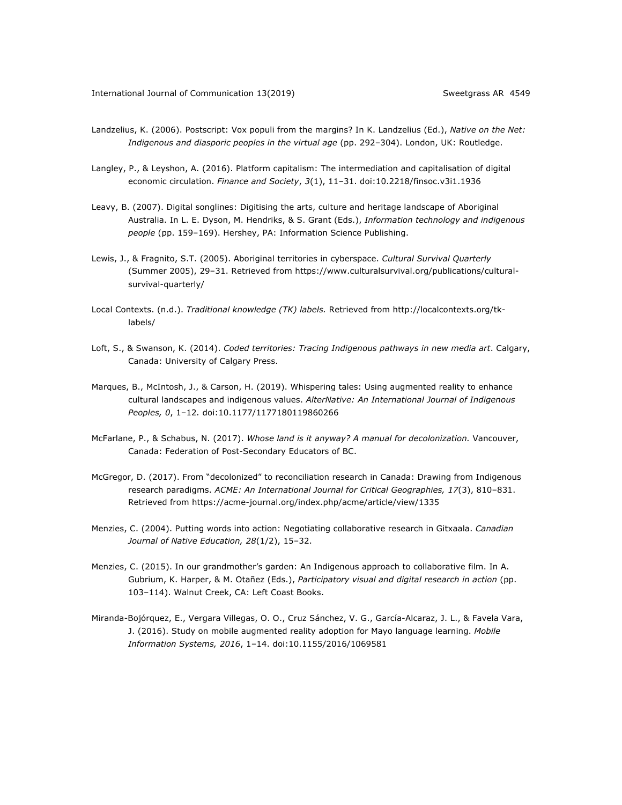- Landzelius, K. (2006). Postscript: Vox populi from the margins? In K. Landzelius (Ed.), *Native on the Net: Indigenous and diasporic peoples in the virtual age* (pp. 292–304). London, UK: Routledge.
- Langley, P., & Leyshon, A. (2016). Platform capitalism: The intermediation and capitalisation of digital economic circulation. *Finance and Society*, *3*(1), 11–31. doi:10.2218/finsoc.v3i1.1936
- Leavy, B. (2007). Digital songlines: Digitising the arts, culture and heritage landscape of Aboriginal Australia. In L. E. Dyson, M. Hendriks, & S. Grant (Eds.), *Information technology and indigenous people* (pp. 159–169). Hershey, PA: Information Science Publishing.
- Lewis, J., & Fragnito, S.T. (2005). Aboriginal territories in cyberspace. *Cultural Survival Quarterly* (Summer 2005), 29–31. Retrieved from https://www.culturalsurvival.org/publications/culturalsurvival-quarterly/
- Local Contexts. (n.d.). *Traditional knowledge (TK) labels.* Retrieved from http://localcontexts.org/tklabels/
- Loft, S., & Swanson, K. (2014). *Coded territories: Tracing Indigenous pathways in new media art*. Calgary, Canada: University of Calgary Press.
- Marques, B., McIntosh, J., & Carson, H. (2019). Whispering tales: Using augmented reality to enhance cultural landscapes and indigenous values. *AlterNative: An International Journal of Indigenous Peoples, 0*, 1–12*.* doi:10.1177/1177180119860266
- McFarlane, P., & Schabus, N. (2017). *Whose land is it anyway? A manual for decolonization.* Vancouver, Canada: Federation of Post-Secondary Educators of BC.
- McGregor, D. (2017). From "decolonized" to reconciliation research in Canada: Drawing from Indigenous research paradigms. *ACME: An International Journal for Critical Geographies, 17*(3), 810–831. Retrieved from https://acme-journal.org/index.php/acme/article/view/1335
- Menzies, C. (2004). Putting words into action: Negotiating collaborative research in Gitxaala. *Canadian Journal of Native Education, 28*(1/2), 15–32.
- Menzies, C. (2015). In our grandmother's garden: An Indigenous approach to collaborative film. In A. Gubrium, K. Harper, & M. Otañez (Eds.), *Participatory visual and digital research in action* (pp. 103–114). Walnut Creek, CA: Left Coast Books.
- Miranda-Bojórquez, E., Vergara Villegas, O. O., Cruz Sánchez, V. G., García-Alcaraz, J. L., & Favela Vara, J. (2016). Study on mobile augmented reality adoption for Mayo language learning. *Mobile Information Systems, 2016*, 1–14. doi:10.1155/2016/1069581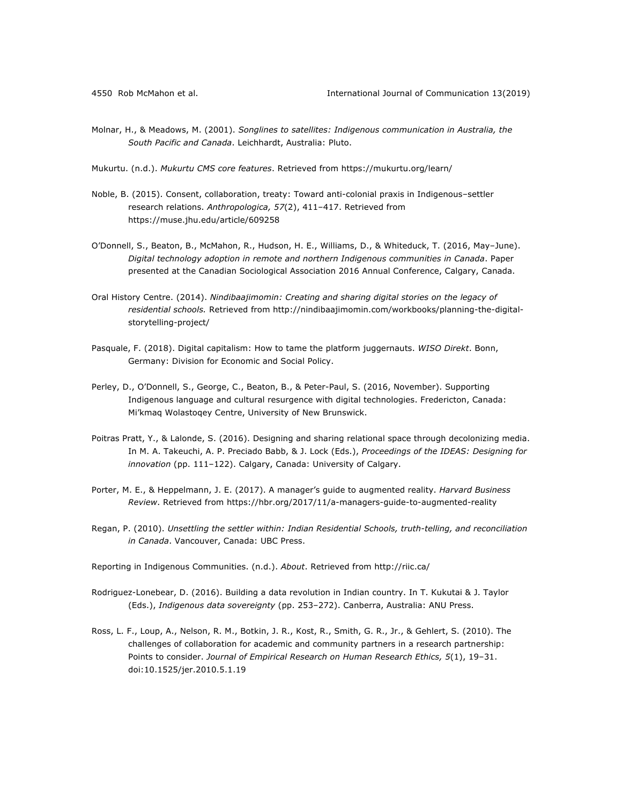Molnar, H., & Meadows, M. (2001). *Songlines to satellites: Indigenous communication in Australia, the South Pacific and Canada*. Leichhardt, Australia: Pluto.

Mukurtu. (n.d.). *Mukurtu CMS core features*. Retrieved from https://mukurtu.org/learn/

- Noble, B. (2015). Consent, collaboration, treaty: Toward anti-colonial praxis in Indigenous–settler research relations. *Anthropologica, 57*(2), 411–417. Retrieved from https://muse.jhu.edu/article/609258
- O'Donnell, S., Beaton, B., McMahon, R., Hudson, H. E., Williams, D., & Whiteduck, T. (2016, May–June). *Digital technology adoption in remote and northern Indigenous communities in Canada*. Paper presented at the Canadian Sociological Association 2016 Annual Conference, Calgary, Canada.
- Oral History Centre. (2014). *Nindibaajimomin: Creating and sharing digital stories on the legacy of residential schools.* Retrieved from http://nindibaajimomin.com/workbooks/planning-the-digitalstorytelling-project/
- Pasquale, F. (2018). Digital capitalism: How to tame the platform juggernauts. *WISO Direkt*. Bonn, Germany: Division for Economic and Social Policy.
- Perley, D., O'Donnell, S., George, C., Beaton, B., & Peter-Paul, S. (2016, November). Supporting Indigenous language and cultural resurgence with digital technologies. Fredericton, Canada: Mi'kmaq Wolastoqey Centre, University of New Brunswick.
- Poitras Pratt, Y., & Lalonde, S. (2016). Designing and sharing relational space through decolonizing media. In M. A. Takeuchi, A. P. Preciado Babb, & J. Lock (Eds.), *Proceedings of the IDEAS: Designing for innovation* (pp. 111–122). Calgary, Canada: University of Calgary.
- Porter, M. E., & Heppelmann, J. E. (2017). A manager's guide to augmented reality. *Harvard Business Review*. Retrieved from https://hbr.org/2017/11/a-managers-guide-to-augmented-reality
- Regan, P. (2010). *Unsettling the settler within: Indian Residential Schools, truth-telling, and reconciliation in Canada*. Vancouver, Canada: UBC Press.

Reporting in Indigenous Communities. (n.d.). *About*. Retrieved from http://riic.ca/

- Rodriguez-Lonebear, D. (2016). Building a data revolution in Indian country. In T. Kukutai & J. Taylor (Eds.), *Indigenous data sovereignty* (pp. 253–272). Canberra, Australia: ANU Press.
- Ross, L. F., Loup, A., Nelson, R. M., Botkin, J. R., Kost, R., Smith, G. R., Jr., & Gehlert, S. (2010). The challenges of collaboration for academic and community partners in a research partnership: Points to consider. *Journal of Empirical Research on Human Research Ethics, 5*(1), 19–31. doi:10.1525/jer.2010.5.1.19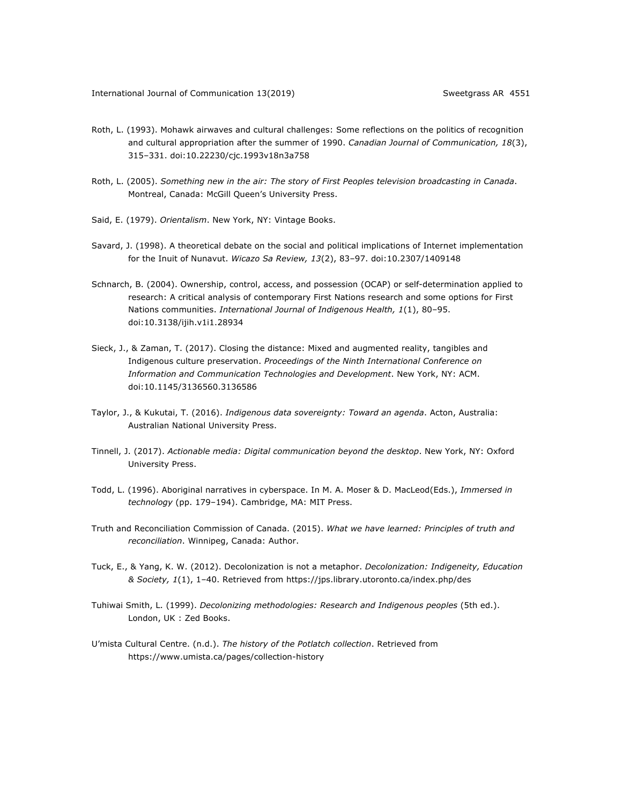- Roth, L. (1993). Mohawk airwaves and cultural challenges: Some reflections on the politics of recognition and cultural appropriation after the summer of 1990. *Canadian Journal of Communication, 18*(3), 315–331. doi:10.22230/cjc.1993v18n3a758
- Roth, L. (2005). *Something new in the air: The story of First Peoples television broadcasting in Canada*. Montreal, Canada: McGill Queen's University Press.
- Said, E. (1979). *Orientalism*. New York, NY: Vintage Books.
- Savard, J. (1998). A theoretical debate on the social and political implications of Internet implementation for the Inuit of Nunavut. *Wicazo Sa Review, 13*(2), 83–97. doi:10.2307/1409148
- Schnarch, B. (2004). Ownership, control, access, and possession (OCAP) or self-determination applied to research: A critical analysis of contemporary First Nations research and some options for First Nations communities. *International Journal of Indigenous Health, 1*(1), 80–95. doi:10.3138/ijih.v1i1.28934
- Sieck, J., & Zaman, T. (2017). Closing the distance: Mixed and augmented reality, tangibles and Indigenous culture preservation. *Proceedings of the Ninth International Conference on Information and Communication Technologies and Development*. New York, NY: ACM. doi:10.1145/3136560.3136586
- Taylor, J., & Kukutai, T. (2016). *Indigenous data sovereignty: Toward an agenda*. Acton, Australia: Australian National University Press.
- Tinnell, J. (2017). *Actionable media: Digital communication beyond the desktop*. New York, NY: Oxford University Press.
- Todd, L. (1996). Aboriginal narratives in cyberspace. In M. A. Moser & D. MacLeod(Eds.), *Immersed in technology* (pp. 179–194). Cambridge, MA: MIT Press.
- Truth and Reconciliation Commission of Canada. (2015). *What we have learned: Principles of truth and reconciliation*. Winnipeg, Canada: Author.
- Tuck, E., & Yang, K. W. (2012). Decolonization is not a metaphor. *Decolonization: Indigeneity, Education & Society, 1*(1), 1–40. Retrieved from https://jps.library.utoronto.ca/index.php/des
- Tuhiwai Smith, L. (1999). *Decolonizing methodologies: Research and Indigenous peoples* (5th ed.). London, UK : Zed Books.
- U'mista Cultural Centre. (n.d.). *The history of the Potlatch collection*. Retrieved from https://www.umista.ca/pages/collection-history